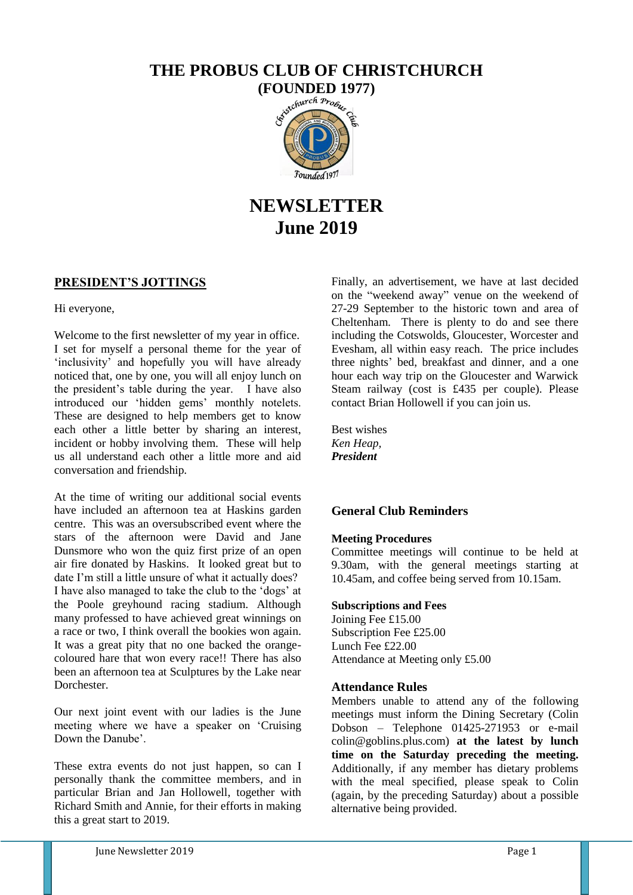## **THE PROBUS CLUB OF CHRISTCHURCH**



# **NEWSLETTER June 2019**

## **PRESIDENT'S JOTTINGS**

Hi everyone,

Welcome to the first newsletter of my year in office. I set for myself a personal theme for the year of 'inclusivity' and hopefully you will have already noticed that, one by one, you will all enjoy lunch on the president's table during the year. I have also introduced our 'hidden gems' monthly notelets. These are designed to help members get to know each other a little better by sharing an interest, incident or hobby involving them. These will help us all understand each other a little more and aid conversation and friendship.

At the time of writing our additional social events have included an afternoon tea at Haskins garden centre. This was an oversubscribed event where the stars of the afternoon were David and Jane Dunsmore who won the quiz first prize of an open air fire donated by Haskins. It looked great but to date I'm still a little unsure of what it actually does? I have also managed to take the club to the 'dogs' at the Poole greyhound racing stadium. Although many professed to have achieved great winnings on a race or two, I think overall the bookies won again. It was a great pity that no one backed the orangecoloured hare that won every race!! There has also been an afternoon tea at Sculptures by the Lake near **Dorchester** 

Our next joint event with our ladies is the June meeting where we have a speaker on 'Cruising Down the Danube'.

These extra events do not just happen, so can I personally thank the committee members, and in particular Brian and Jan Hollowell, together with Richard Smith and Annie, for their efforts in making this a great start to 2019.

Finally, an advertisement, we have at last decided on the "weekend away" venue on the weekend of 27-29 September to the historic town and area of Cheltenham. There is plenty to do and see there including the Cotswolds, Gloucester, Worcester and Evesham, all within easy reach. The price includes three nights' bed, breakfast and dinner, and a one hour each way trip on the Gloucester and Warwick Steam railway (cost is £435 per couple). Please contact Brian Hollowell if you can join us.

Best wishes *Ken Heap, President* 

## **General Club Reminders**

## **Meeting Procedures**

Committee meetings will continue to be held at 9.30am, with the general meetings starting at 10.45am, and coffee being served from 10.15am.

#### **Subscriptions and Fees**

Joining Fee £15.00 Subscription Fee £25.00 Lunch Fee £22.00 Attendance at Meeting only £5.00

## **Attendance Rules**

Members unable to attend any of the following meetings must inform the Dining Secretary (Colin Dobson – Telephone  $01425-271953$  or e-mail colin@goblins.plus.com) **at the latest by lunch time on the Saturday preceding the meeting.** Additionally, if any member has dietary problems with the meal specified, please speak to Colin (again, by the preceding Saturday) about a possible alternative being provided.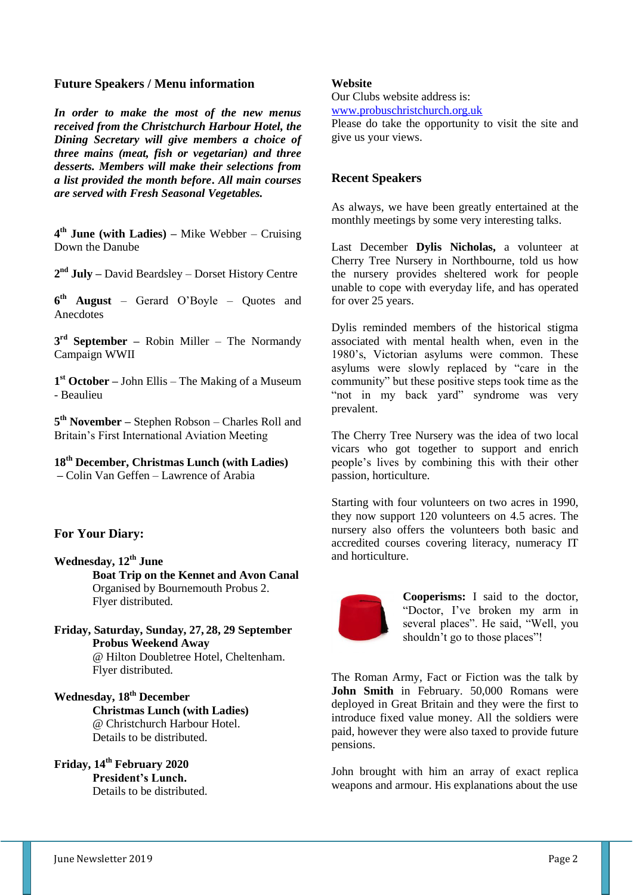## **Future Speakers / Menu information**

*In order to make the most of the new menus received from the Christchurch Harbour Hotel, the Dining Secretary will give members a choice of three mains (meat, fish or vegetarian) and three desserts. Members will make their selections from a list provided the month before***.** *All main courses are served with Fresh Seasonal Vegetables.*

**4 th June (with Ladies) –** Mike Webber – Cruising Down the Danube

**2 nd July –** David Beardsley – Dorset History Centre

**6 th August** – Gerard O'Boyle – Quotes and **Anecdotes** 

**3 rd September –** Robin Miller – The Normandy Campaign WWII

**1 st October –** John Ellis – The Making of a Museum - Beaulieu

**5 th November –** Stephen Robson – Charles Roll and Britain's First International Aviation Meeting

**18th December, Christmas Lunch (with Ladies) –** Colin Van Geffen – Lawrence of Arabia

## **For Your Diary:**

- **Wednesday, 12th June Boat Trip on the Kennet and Avon Canal**  Organised by Bournemouth Probus 2. Flyer distributed.
- **Friday, Saturday, Sunday, 27, 28, 29 September Probus Weekend Away** @ Hilton Doubletree Hotel, Cheltenham. Flyer distributed.
- **Wednesday, 18th December Christmas Lunch (with Ladies)** @ Christchurch Harbour Hotel. Details to be distributed.
- **Friday, 14th February 2020 President's Lunch.** Details to be distributed.

#### **Website**

Our Clubs website address is:

[www.probuschristchurch.org.uk](http://www.probuschristchurch.org.uk/)

Please do take the opportunity to visit the site and give us your views.

#### **Recent Speakers**

As always, we have been greatly entertained at the monthly meetings by some very interesting talks.

Last December **Dylis Nicholas,** a volunteer at Cherry Tree Nursery in Northbourne, told us how the nursery provides sheltered work for people unable to cope with everyday life, and has operated for over 25 years.

Dylis reminded members of the historical stigma associated with mental health when, even in the 1980's, Victorian asylums were common. These asylums were slowly replaced by "care in the community" but these positive steps took time as the "not in my back yard" syndrome was very prevalent.

The Cherry Tree Nursery was the idea of two local vicars who got together to support and enrich people's lives by combining this with their other passion, horticulture.

Starting with four volunteers on two acres in 1990, they now support 120 volunteers on 4.5 acres. The nursery also offers the volunteers both basic and accredited courses covering literacy, numeracy IT and horticulture.



**Cooperisms:** I said to the doctor, "Doctor, I've broken my arm in several places". He said, "Well, you shouldn't go to those places"!

The Roman Army, Fact or Fiction was the talk by **John Smith** in February. 50,000 Romans were deployed in Great Britain and they were the first to introduce fixed value money. All the soldiers were paid, however they were also taxed to provide future pensions.

John brought with him an array of exact replica weapons and armour. His explanations about the use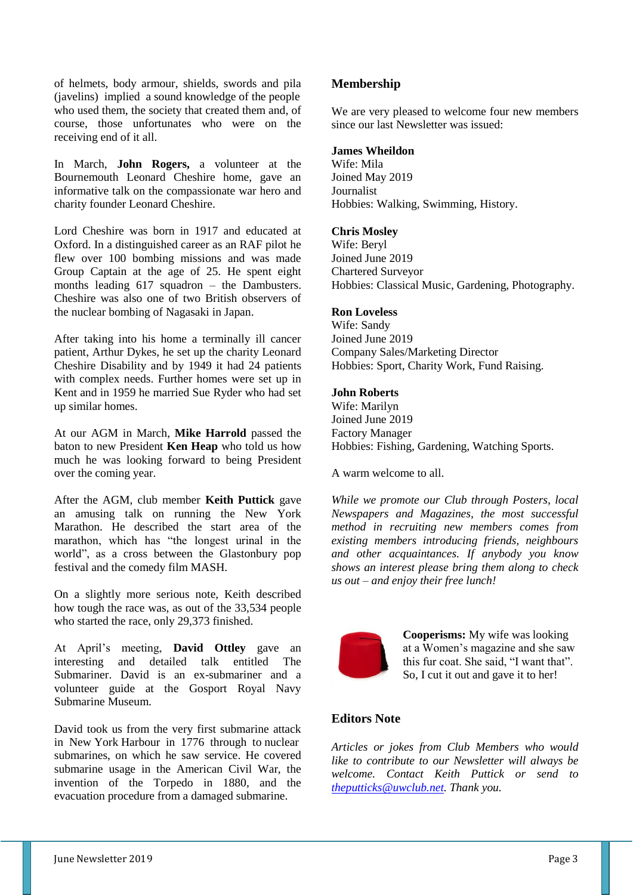of helmets, body armour, shields, swords and pila (javelins) implied a sound knowledge of the people who used them, the society that created them and, of course, those unfortunates who were on the receiving end of it all.

In March, **John Rogers,** a volunteer at the Bournemouth Leonard Cheshire home, gave an informative talk on the compassionate war hero and charity founder Leonard Cheshire.

Lord Cheshire was born in 1917 and educated at Oxford. In a distinguished career as an RAF pilot he flew over 100 bombing missions and was made Group Captain at the age of 25. He spent eight months leading 617 squadron – the Dambusters. Cheshire was also one of two British observers of the nuclear bombing of Nagasaki in Japan.

After taking into his home a terminally ill cancer patient, Arthur Dykes, he set up the charity Leonard Cheshire Disability and by 1949 it had 24 patients with complex needs. Further homes were set up in Kent and in 1959 he married Sue Ryder who had set up similar homes.

At our AGM in March, **Mike Harrold** passed the baton to new President **Ken Heap** who told us how much he was looking forward to being President over the coming year.

After the AGM, club member **Keith Puttick** gave an amusing talk on running the New York Marathon. He described the start area of the marathon, which has "the longest urinal in the world", as a cross between the Glastonbury pop festival and the comedy film MASH.

On a slightly more serious note, Keith described how tough the race was, as out of the 33,534 people who started the race, only 29,373 finished.

At April's meeting, **David Ottley** gave an interesting and detailed talk entitled The Submariner. David is an ex-submariner and a volunteer guide at the Gosport Royal Navy Submarine Museum.

David took us from the very first submarine attack in New York Harbour in 1776 through to nuclear submarines, on which he saw service. He covered submarine usage in the American Civil War, the invention of the Torpedo in 1880, and the evacuation procedure from a damaged submarine.

## **Membership**

We are very pleased to welcome four new members since our last Newsletter was issued:

## **James Wheildon**

Wife: Mila Joined May 2019 Journalist Hobbies: Walking, Swimming, History.

### **Chris Mosley**

Wife: Beryl Joined June 2019 Chartered Surveyor Hobbies: Classical Music, Gardening, Photography.

#### **Ron Loveless**

Wife: Sandy Joined June 2019 Company Sales/Marketing Director Hobbies: Sport, Charity Work, Fund Raising.

### **John Roberts**

Wife: Marilyn Joined June 2019 Factory Manager Hobbies: Fishing, Gardening, Watching Sports.

A warm welcome to all.

*While we promote our Club through Posters, local Newspapers and Magazines, the most successful method in recruiting new members comes from existing members introducing friends, neighbours and other acquaintances. If anybody you know shows an interest please bring them along to check us out – and enjoy their free lunch!*



**Cooperisms:** My wife was looking at a Women's magazine and she saw this fur coat. She said, "I want that". So, I cut it out and gave it to her!

## **Editors Note**

*Articles or jokes from Club Members who would like to contribute to our Newsletter will always be welcome. Contact Keith Puttick or send to [theputticks@uwclub.net.](mailto:theputticks@uwclub.net) Thank you.*